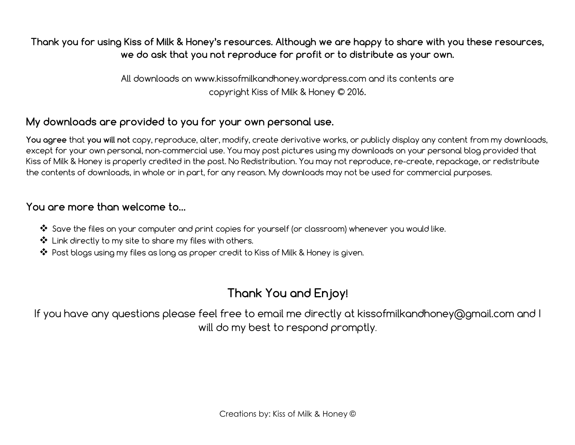# Thank you for using Kiss of Milk & Honey's resources. Although we are happy to share with you these resources, we do ask that you not reproduce for profit or to distribute as your own.

All downloads on www.kissofmilkandhoney.wordpress.com and its contents are copyright Kiss of Milk & Honey © 2016.

# My downloads are provided to you for your own personal use.

You agree that you will not copy, reproduce, alter, modify, create derivative works, or publicly display any content from my downloads, except for your own personal, non-commercial use. You may post pictures using my downloads on your personal blog provided that Kiss of Milk & Honey is properly credited in the post. No Redistribution. You may not reproduce, re-create, repackage, or redistribute the contents of downloads, in whole or in part, for any reason. My downloads may not be used for commercial purposes.

### You are more than welcome to…

- ❖ Save the files on your computer and print copies for yourself (or classroom) whenever you would like.
- ❖ Link directly to my site to share my files with others.
- ❖ Post blogs using my files as long as proper credit to Kiss of Milk & Honey is given.

# Thank You and Enjoy!

If you have any questions please feel free to email me directly at kissofmilkandhoney@gmail.com and I will do my best to respond promptly.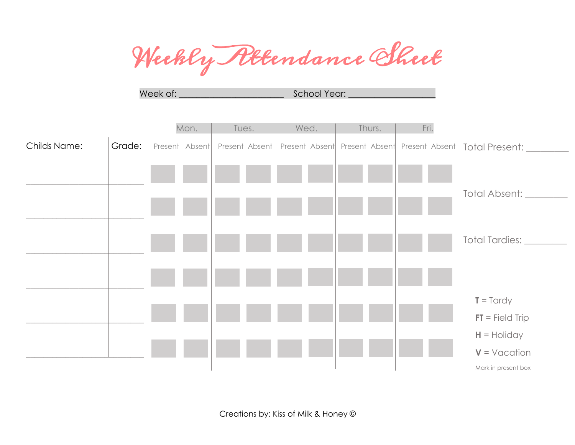Weekly Rttendance Sheet

Week of: \_\_\_\_\_\_\_\_\_\_\_\_\_\_\_\_\_\_\_\_\_\_\_\_ School Year: \_\_\_\_\_\_\_\_\_\_\_\_\_\_\_\_\_\_\_\_



Creations by: Kiss of Milk & Honey ©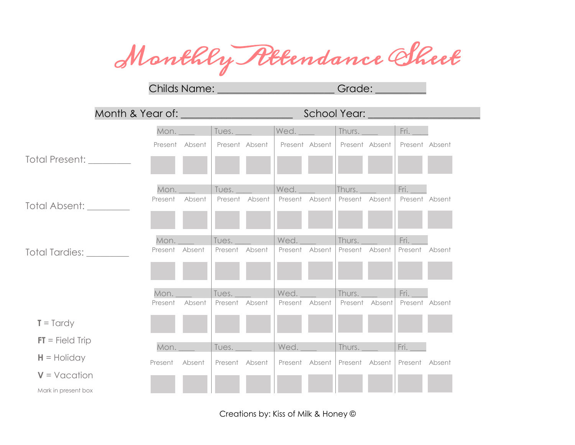Monthly Attendance Sheet

Childs Name: **\_\_\_\_\_\_\_\_\_\_\_\_\_\_\_\_\_\_\_\_\_\_\_** Grade: \_\_\_\_\_\_\_\_\_\_

|                          |                |                          |                | School Year: ____________ |                |
|--------------------------|----------------|--------------------------|----------------|---------------------------|----------------|
|                          | Mon.           | Tues.                    | Wed.           | Thurs.                    | Fri.           |
|                          | Present Absent | Present Absent           | Present Absent | Present Absent            | Present Absent |
| Total Present: _________ |                |                          |                |                           |                |
|                          | Mon.           | Tues.                    | $ $ Wed. $ $   | Thurs.                    | Fri.           |
| Total Absent: ________   | Present        | Absent<br>Present Absent | Present Absent | Present Absent            | Present Absent |
|                          | Mon._          | Tues.                    | Wed.           | Thurs.                    | Fri.           |
| Total Tardies:           | Present Absent | Present Absent           | Present Absent | Present<br>Absent         | Present Absent |
|                          |                |                          |                |                           |                |
|                          | Mon.           | Tues.                    | Wed._          | Thurs. $-$                | Fri. $\qquad$  |
|                          | Present        | Absent<br>Present Absent | Present Absent | Present Absent            | Present Absent |
| $T = T$ ardy             |                |                          |                |                           |                |
| $FT = Field Trip$        | Mon.           | Tues.                    | Wed.           | Thurs.                    | Fri.           |
| $H =$ Holiday            | Present Absent | Present Absent           | Present Absent | Present Absent            | Present Absent |
| $V = V$ acation          |                |                          |                |                           |                |
| Mark in present box      |                |                          |                |                           |                |

Creations by: Kiss of Milk & Honey ©